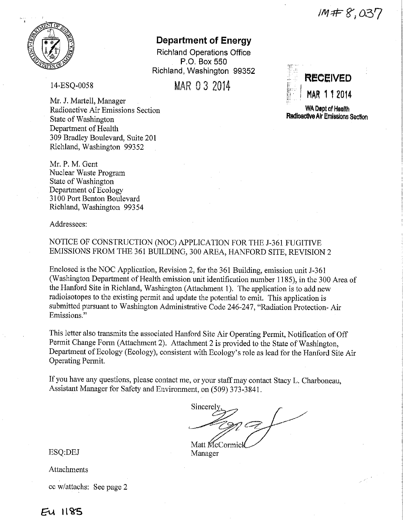$IM#8,037$ 



# **Department of Energy**

Richland Operations Office P.O. Box 550 Richland, Washington 99352

14-ESQ-0058

Mr. J. Martell, Manager Radioactive Air Emissions Section State of Washington Department of Health 309 Bradley Boulevard, Suite 201 Richland, Washington 99352

Mr. P. M. Gent Nuclear Waste Program State of Washington Department of Ecology 3100 Port Benton Boulevard Richland, Washington 993 54

Addressees:

# NOTICE OF CONSTRUCTION (NOC) APPLICATION FOR THE J-361 FUGITIVE EMISSIONS FROM THE 361 BUILDING, 300 AREA, HANFORD SITE, REVISION 2

Enclosed is the NOC Application, Revision 2, for the 361 Building, emission unit J-361 (Washington Department of Health emission unit identification number 1185), in the 300 Area of the Hanford Site in Richland, Washington (Attachment 1). The application is to add new radioisotopes to the existing permit and update the potential to emit. This application is submitted pursuant to Washington Administrative Code 246-247, "Radiation Protection- Air Emissions."

This letter also transmits the associated Hanford Site Air Operating Permit, Notification of Off Permit Change Form (Attachment 2). Attachment 2 is provided to the State of Washington, Department of Ecology (Ecology), consistent with Ecology's role as lead for the Hanford Site Air Operating Permit.

If you have any questions, please contact me, or your staff may contact Stacy L. Charboneau, Assistant Manager for Safety and Environment, on (509) 373-3841.

**Sincerely**  $-200C$ Matt **McCormicl** 

Manager

ESQ:DEJ

Attachments

cc w/attachs: See page 2



WA Dapt of Health **Radioactive** Air Emissions Sectton

 $F<sub>U</sub>$  1185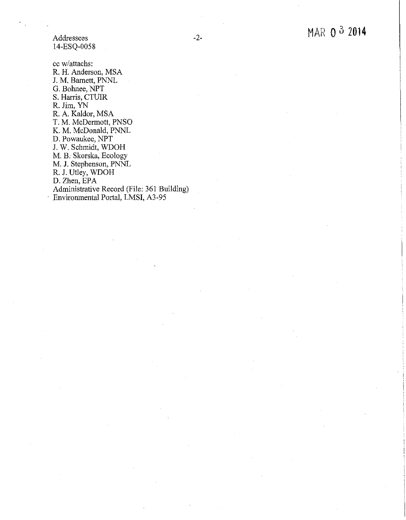Addressees 14-ESQ-0058

cc w/attachs: R. H. Anderson, MSA J. M. Barnett, PNNL G. Bohnee, NPT S. Harris, CTUIR R. Jim, YN R. A. Kaldor, MSA T. M. McDermott, PNSO K. M. McDonald, PNNL D. Powaukee, NPT J. W. Schmidt, WDOH M. B. Skorska, Ecology M. J. Stephenson, PNNL R. J. Utley, WDOH D. Zhen, EPA Administrative Record (File: 361 Building)

· Environmental Portal, LMSI, A3-95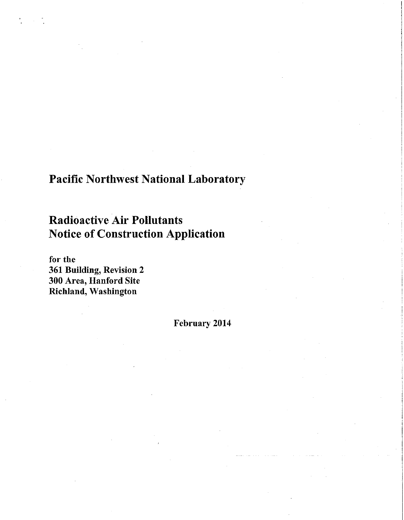# Pacific Northwest National Laboratory

# Radioactive Air Pollutants Notice of Construction Application

for the 361 Building, Revision 2 300 Area, Hanford Site Richland, Washington

February 2014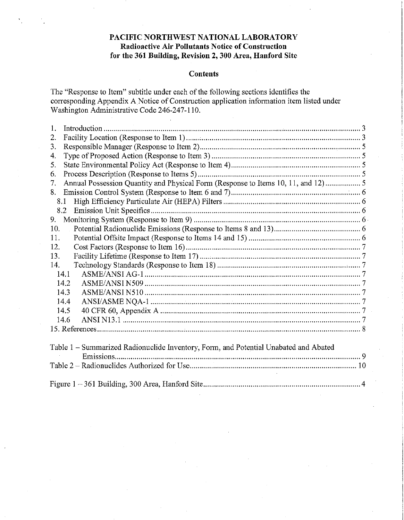# **PACIFIC NORTHWEST NATIONAL LABORATORY Radioactive Air Pollutants Notice of Construction for the 361 Building, Revision 2, 300 Area, Hanford Site**

#### **Contents**

The "Response to Item" subtitle under each of the following sections identifies the corresponding Appendix A.Notice of Construction application information item listed under Washington Administrative Code 246-247-110.

| 1.                                                                                      |  |
|-----------------------------------------------------------------------------------------|--|
| 2.                                                                                      |  |
| 3.                                                                                      |  |
| 4.                                                                                      |  |
| 5.                                                                                      |  |
| 6.                                                                                      |  |
| Annual Possession Quantity and Physical Form (Response to Items 10, 11, and 12) 5<br>7. |  |
| 8.                                                                                      |  |
| 8.1                                                                                     |  |
| 8.2                                                                                     |  |
| 9.                                                                                      |  |
| 10.                                                                                     |  |
| 11.                                                                                     |  |
| 12.                                                                                     |  |
| 13.                                                                                     |  |
| 14.                                                                                     |  |
| 14.1                                                                                    |  |
| 14.2                                                                                    |  |
| 14.3                                                                                    |  |
| 14.4                                                                                    |  |
| 14.5                                                                                    |  |
| 14.6                                                                                    |  |
|                                                                                         |  |
|                                                                                         |  |
| Table 1 – Summarized Radionuclide Inventory, Form, and Potential Unabated and Abated    |  |
|                                                                                         |  |
|                                                                                         |  |
|                                                                                         |  |
|                                                                                         |  |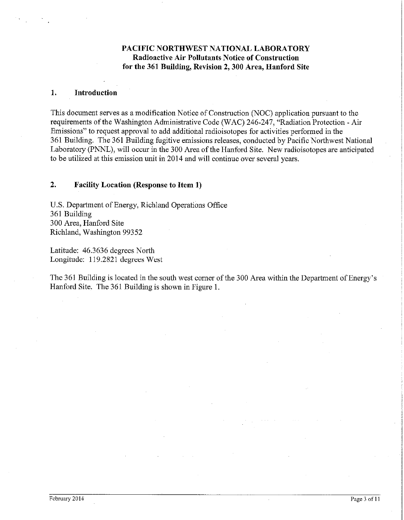# **PACIFIC NORTHWEST NATIONAL LABORATORY Radioactive Air Pollutants Notice of Construction for the 361 Building, Revision 2, 300 Area, Hanford Site**

#### **1. Introdnction**

This document serves as a modification Notice of Construction (NOC) application pursuant to the requirements of the Washington Administrative Code (WAC) 246-247, "Radiation Protection -Air Emissions" to request approval to add additional radioisotopes for activities performed in the 361 Building. The 361 Building fugitive emissions releases, conducted by Pacific Northwest National Laboratory (PNNL), will occur in the 300 Area of the Hanford Site. New radioisotopes are anticipated to be utilized at this emission unit in 2014 and will continue over several years.

#### **2. Facility Location (Response to Item 1)**

U.S. Department of Energy, Richland Operations Office 361 Building 300 Area, Hanford Site Richland, Washington 99352

Latitude: 46.3636 degrees North Longitude: 119.2821 degrees West

The 361 Building is located in the south west comer of the 300 Area within the Department of Energy's Hanford Site. The 361 Building is shown in Figure I.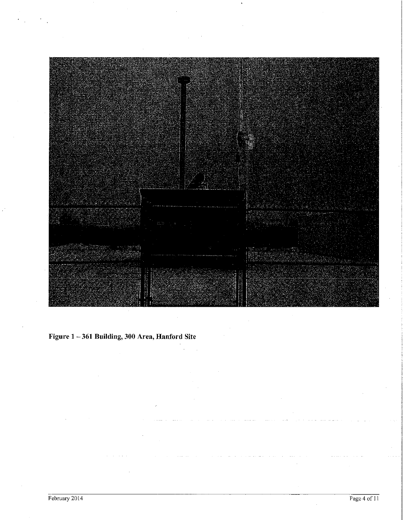

**Figure 1** - **361 Building, 300 Area, Hanford Site**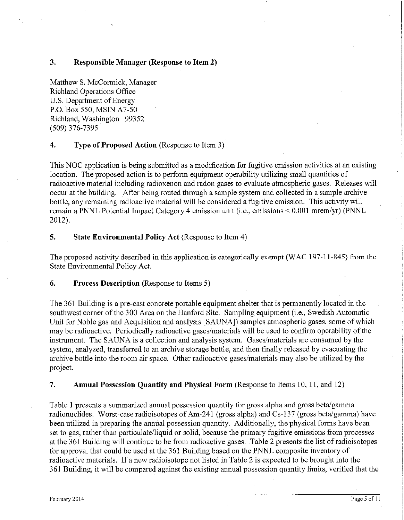## **3. Responsible Manager (Response to Item 2)**

Matthew S. McCormick, Manager Richland Operations Office U.S. Department of Energy P.O. Box 550, MSIN A7-50 Richland, Washington 99352 (509) 376-7395

## **4. Type of Proposed Action** (Response to Item 3)

This NOC application is being submitted as a modification for fugitive emission activities at an existing location. The proposed action is to perform equipment operability utilizing small quantities of radioactive material including radioxenon and radon gases to evaluate atmospheric gases. Releases will occur at the building. After being routed through a sample system and collected in a sample archive bottle, any remaining radioactive material will be considered a fugitive emission. This activity will remain a PNNL Potential Impact Category 4 emission unit (i.e., emissions< 0.001 mrem/yr) (PNNL 2012).

#### **5. State Environmental Policy Act** (Response to Item 4)

The proposed activity described in this application is categorically exempt (WAC 197-11-845) from the State Environmental Policy Act.

#### **6. Process Description** (Response to Items 5)

The 361 Building is a pre-cast concrete portable equipment shelter that is permanently located in the southwest comer of the 300 Area on the Hanford Site. Sampling equipment (i.e., Swedish Automatic Unit for Noble gas and Acquisition and analysis [SAUNA]) samples atmospheric gases, some of which may be radioactive. Periodically radioactive gases/materials will be used to confirm operability of the instrument. The SAUNA is a collection and analysis system. Gases/materials are consumed by the system, analyzed, transferred to an archive storage bottle, and then finally released by evacuating the archive bottle into the room air space. Other radioactive gases/materials may also be utilized by the project.

**7. Annual Possession Quantity and Physical Form** (Response to Items 10, **11,** and 12)

Table I presents a summarized annual possession quantity for gross alpha and gross beta/gamma radionuclides. Worst-case radioisotopes of Am-241 (gross alpha) and Cs-137 (gross beta/gamma) have been utilized in preparing the annual possession quantity. Additionally, the physical forms have been set to gas, rather than particulate/liquid or solid, because the primary fugitive emissions from processes at the 361 Building will continue to be from radioactive gases. Table 2 presents fue list of radioisotopes for approval that could be used at the 361 Building based on the PNNL composite inventory of radioactive materials. If a new radioisotope not listed in Table 2 is expected to be brought into the 361 Building, it will be compared against the existing annual possession quantity limits, verified that the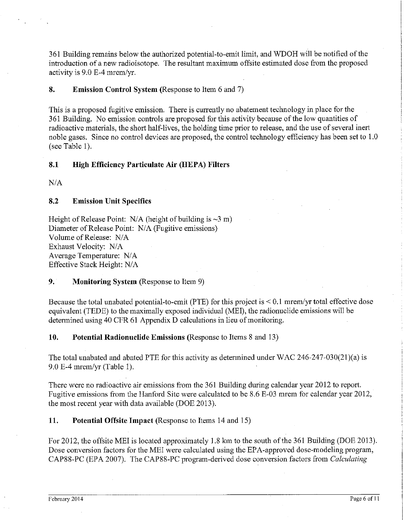361 Building remains below the authorized potential-to-emit limit, and WDOH will be notified of the introduction of a new radioisotope. The resultant maximum offsite estimated dose from the proposed activity is 9.0 E-4 mrem/yr.

**8. Emission Control System** (Response to Item 6 and 7)

This is a proposed fugitive emission. There is currently no abatement technology in place for the 361 Building. No emission controls are proposed for this activity because of the low quantities of radioactive materials, the short half-lives, the holding time prior to release, and the use of several inert noble gases. Since no control devices are proposed, the control technology efficiency has been set to 1.0 (see Table  $1$ ).

## **8.1 High Efficiency Particulate Air (HEPA) Filters**

 $N/A$ 

### **8.2 Emission Unit Specifics**

Height of Release Point:  $N/A$  (height of building is  $\sim 3$  m) Diameter of Release Point: N/A (Fugitive emissions) Volume of Release: N/A Exhaust Velocity: N/A Average Temperature: N/A Effective Stack Height: N/A

# **9. Monitoring System** (Response to Item 9)

Because the total unabated potential-to-emit (PTE) for this project is  $\leq 0.1$  mrem/yr total effective dose equivalent (TEDE) to the maximally exposed individual (MEI), the radionuclide emissions will be determined using 40 CFR 61 Appendix D calculations in lieu of monitoring.

**10. Potential Radionuclide Emissions** (Response to Items 8 and 13)

The total unabated and abated PTE for this activity as determined under WAC 246-247-030(21)(a) is 9.0 E-4 mremlyr (Table 1).

There were no radioactive air emissions from the 361 Building during calendar year 2012 to report. Fugitive emissions from the Hanford Site were calculated to be 8.6 E-03 mrem for calendar year 2012, the most recent year with data available (DOE 2013).

**11. Potential Offsite Impact** (Response to Items 14 and 15)

For 2012, the offsite MEI is located approximately 1.8 km to the south of the 361 Building (DOE 2013). Dose conversion factors for the MEI were calculated using the EPA-approved dose-modeling program, CAP88-PC (EPA 2007). The CAP88-PC program-derived dose conversion factors from *Calculating*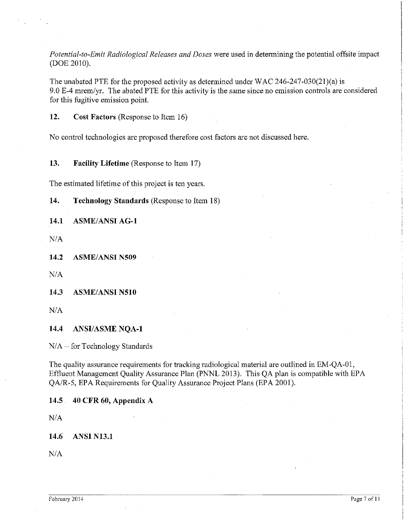*Potential-to-Emit Radiological Releases and Doses* were used in determining the potential offsite impact (DOE 2010).

The unabated PTE for the proposed activity as determined under WAC 246-247-030(21)(a) is 9.0 E-4 mremlyr. The abated PTE for this activity is the same since no emission controls are considered for this fugitive emission point.

**12. Cost Factors** (Response to Item 16)

No control technologies are proposed therefore cost factors are not discussed here.

**13. Facility Lifetime** (Response to Item 17)

The estimated lifetime of this project is ten years.

**14. Technology Standards** (Response to Item 18)

14.1 **ASME/ANSI AG-1** 

*NIA* 

**14.2 ASMEIANSI N509** 

*NIA* 

**14.3 ASME/ANSI N510** 

*NIA* 

**14.4 ANSI/ASME NQA-1** 

*NIA-* for Technology Standards

The quality assurance requirements for tracking radiological material are outlined in EM-QA-01, Effluent Management Quality Assurance Plan (PNNL 2013). This QA plan is compatible with EPA *QAIR-5,* EPA Requirements for Quality Assurance Project Plans (EPA 2001 ).

**14.5 40 CFR 60, Appendix A** 

*NIA* 

**14.6 ANSI N13.1** 

*NIA*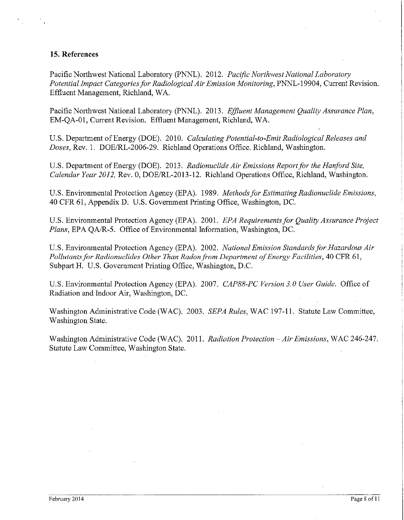#### **15. References**

Pacific Northwest National Laboratory (PNNL). 2012. *Pacific Northwest National Laboratory Potential Impact Categories for Radiological Air Emission Monitoring,* PNNL-19904, Current Revision. Effluent Management, Richland, WA.

Pacific Northwest National Laboratory (PNNL). 2013. *Effluent Management Quality Assurance Plan,*  EM-QA-01, Current Revision. Effluent Management, Richland, WA.

U.S. Department of Energy (DOE). 2010. *Calculating Potential-to-Emit Radiological Releases and Doses,* Rev. 1. DOE/RL-2006-29. Richland Operations Office. Richland, Washington.

U.S. Department of Energy (DOE). 2013. *Radionuclide Air Emissions Report for the Hanford Site, Calendar Year 2012,* Rev. 0, DOE/RL-2013-12. Richland Operations Office, Richland, Washington.

U.S. Environmental Protection Agency (EPA). 1989. *Methods for Estimating Radionuclide Emissions,*  40 CFR 61, Appendix D. U.S. Government Printing Office, Washington, DC.

U.S. Environmental Protection Agency (EPA). 2001. *EPA Requirements for Quality Assurance Project Plans,* EPA QA/R-5. Office of Environmental Information, Washington, DC.

U.S. Environmental Protection Agency (EPA). 2002. *National Emission Standards for Hazardous Air Pollutants for Radionuclides Other Than Radon from Department a/Energy Facilities,* 40 CFR 61, Subpart H. U.S. Government Printing Office, Washington, D.C.

U.S. Environmental Protection Agency (EPA). 2007. *CAP88-PC Version 3.0 User Guide.* Office of Radiation and Indoor Air, Washington, DC.

Washington Administrative Code (WAC). 2003. *SEPA Rules,* WAC 197-11. Statute Law Committee, Washington State.

Washington Administrative Code (WAC). 2011. *Radiation Protection -Air Emissions,* WAC 246-247. Statute Law Committee, Washington State.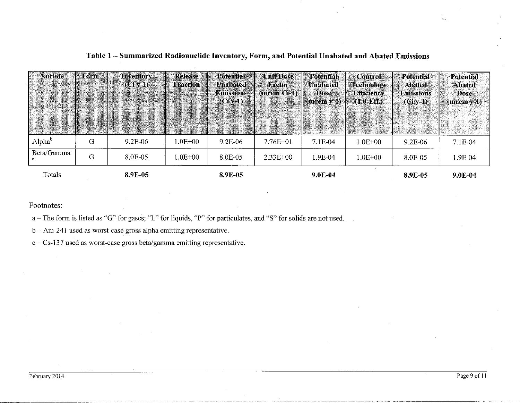| Nuclide            | Form® | <b>Inventory</b><br>$(Civ-1)$ | <b>Refease</b><br><b>Fraction</b> | <b>Potential</b><br><b>Unabated</b><br>Binissions<br>$(Ci$ v-1) | <b>Unit Dose</b><br><b>Factor</b><br>(mrem G-D) | <b>Potential</b><br>  Unabated<br>Dose<br>$(mrem v-1)$ | <b>Control</b><br>Technology<br><b>Efficiency</b><br>$(1.0 - Eff)$ | <b>Potential</b><br><b>Abated</b><br><b>Emissions</b><br>$(Ciy-1)$ | <b>Potential</b><br><b>Abated</b><br><b>Dose</b><br>$(mrem y-1)$ |
|--------------------|-------|-------------------------------|-----------------------------------|-----------------------------------------------------------------|-------------------------------------------------|--------------------------------------------------------|--------------------------------------------------------------------|--------------------------------------------------------------------|------------------------------------------------------------------|
| Alpha <sup>b</sup> | G     | $9.2E-06$                     | $1.0E + 00$                       | 9.2E-06                                                         | $7.76E + 01$                                    | $7.1E-04$                                              | $1.0E + 00$                                                        | $9.2E - 06$                                                        | 7.1E-04                                                          |
| Beta/Gamma         | G     | 8.0E-05                       | $1.0E{+}00$                       | 8.0E-05                                                         | $2.33E+00$                                      | 1.9E-04                                                | $1.0E + 00$                                                        | 8.0E-05                                                            | 1.9E-04                                                          |
| Totals             |       | 8.9E-05                       |                                   | 8.9E-05                                                         |                                                 | $9.0E-04$                                              |                                                                    | 8.9E-05                                                            | $9.0E-04$                                                        |

# **Table 1 - Summarized Radionuclide Inventory, Form, and Potential Unabated and Abated Emissions**

Footnotes:

a - The form is listed as "G" for gases; "L" for liquids, "P" for particulates, and "S" for solids are not used.

 $b - Am-241$  used as worst-case gross alpha emitting representative.

c-Cs-137 used as worst-case gross beta/gamma emitting representative.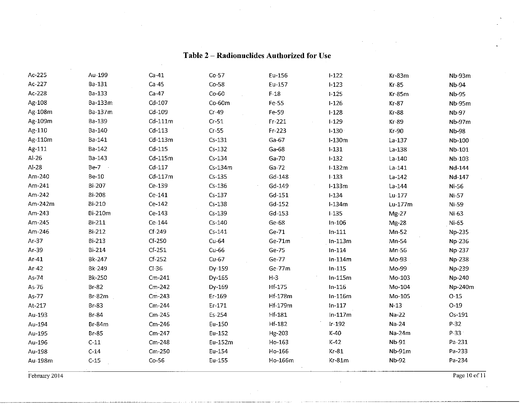| Ac-225  | Au-199        | $Ca-41$   | $Co-57$    | Eu-156        | $I-122$   | Kr-83m       | Nb-93m        |
|---------|---------------|-----------|------------|---------------|-----------|--------------|---------------|
| Ac-227  | Ba-131        | $Ca-45$   | $Co-58$    | Eu-157        | $1-123$   | $Kr-85$      | <b>Nb-94</b>  |
| Ac-228  | Ba-133        | $Ca-47$   | $Co-60$    | $F-18$        | $1 - 125$ | $Kr-85m$     | Nb-95         |
| Ag-108  | Ba-133m       | $Cd-107$  | $Co-60m$   | Fe-55         | $1 - 126$ | $Kr-87$      | <b>Nb-95m</b> |
| Ag-108m | Ba-137m       | Cd-109    | $Cr-49$    | Fe-59         | $1 - 128$ | <b>Kr-88</b> | Nb-97         |
| Ag-109m | Ba-139        | $Cd-111m$ | $Cr-51$    | Fr-221        | $1 - 129$ | $Kr-89$      | Nb-97m        |
| Ag-110  | Ba-140        | $Cd-113$  | $Cr-55$    | Fr-223        | $1-130$   | Kr-90        | Nb-98         |
| Ag-110m | Ba-141        | $Cd-113m$ | $Cs-131$   | $Ga-67$       | $l-130m$  | $La-137$     | Nb-100        |
| Ag-111  | Ba-142        | $Cd-115$  | $Cs-132$   | $Ga-68$       | $1 - 131$ | $La-138$     | Nb-101        |
| $Al-26$ | Ba-143        | $Cd-115m$ | $Cs - 134$ | Ga-70         | $1 - 132$ | La-140       | Nb-103        |
| Al-28   | $Be-7$        | $Cd-117$  | Cs-134m    | $Ga-72$       | $1-132m$  | $La-141$     | Nd-144        |
| Am-240  | <b>Be-10</b>  | $Cd-117m$ | $Cs-135$   | Gd-148        | $I-133$   | $La-142$     | Nd-147        |
| Am-241  | Bi-207        | Ce-139    | $Cs-136$   | Gd-149        | $1-133m$  | $La-144$     | Ni-56         |
| Am-242  | <b>Bi-208</b> | $Ce-141$  | $Cs-137$   | $Gd-151$      | $I-134$   | Lu-177       | $Ni-57$       |
| Am-242m | Bi-210        | Ce-142    | $Cs-138$   | Gd-152        | $l-134m$  | Lu-177m      | Ni-59         |
| Am-243  | Bi-210m       | Ce-143    | $Cs-139$   | Gd-153        | $1-135$   | $Mg-27$      | $Ni-63$       |
| Am-245  | Bi-211        | Ce-144    | $Cs-140$   | Ge-68         | $In-106$  | Mg-28        | Ni-65         |
| Am-246  | Bi-212        | $Cf-249$  | $Cs-141$   | Ge-71         | $In-111$  | $Mn-52$      | No-235        |
| $Ar-37$ | Bi-213        | $Cf-250$  | $Cu-64$    | Ge-71m        | $ln-113m$ | Mn-54        | Np-236        |
| Ar-39   | Bi-214        | $Cf-251$  | $Cu-66$    | Ge-75         | $In-114$  | Mn-56        | Np-237        |
| $Ar-41$ | Bk-247        | $Cf-252$  | $Cu-67$    | Ge-77         | $ln-114m$ | Mo-93        | Np-238        |
| $Ar-42$ | Bk-249        | $Cl-36$   | Dy-159     | Ge-77m        | $In-115$  | Mo-99        | Np-239        |
| As-74   | Bk-250        | $Cm-241$  | Dy-165     | $H-3$         | $ln-115m$ | Mo-103       | Np-240        |
| As-76   | $Br-82$       | $Cm-242$  | Dy-169     | Hf-175        | $In-116$  | Mo-104       | Np-240m       |
| As-77   | $Br-82m$      | $Cm-243$  | Er-169     | Hf-178m       | $ln-116m$ | Mo-105       | $O-15$        |
| At-217  | Br-83         | $Cm-244$  | $Er-171$   | Hf-179m       | $ln-117$  | $N-13$       | $O-19$        |
| Au-193  | <b>Br-84</b>  | $Cm-245$  | Es-254     | Hf-181        | $In-117m$ | $Na-22$      | Os-191        |
| Au-194  | Br-84m        | Cm-246    | Eu-150     | <b>Hf-182</b> | $lr-192$  | Na-24        | P-32          |
| Au-195  | Br-85         | $Cm-247$  | Eu-152     | Hg-203        | $K-40$    | Na-24m       | P-33 ·        |
| Au-196  | $C-11$        | $Cm-248$  | Eu-152m    | Ho-163        | $K-42$    | Nb-91        | Pa-231        |
| Au-198  | $C-14$        | $Cm-250$  | Eu-154     | Ho-166        | $Kr-81$   | Nb-91m       | Pa-233        |
| Au-198m | $C-15$        | $Co-56$   | Eu-155     | Ho-166m       | Kr-81m    | Nb-92        | Pa-234        |
|         |               |           |            |               |           |              |               |

# **Table 2 - Radionuclides Authorized for Use**

Februmy2014 Page 10 of 11

 $\sim$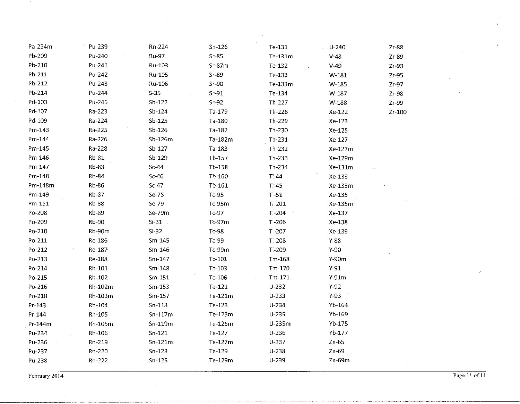| Pa-234m | Pu-239       | Rn-224       | $Sn-126$ | Te-131         | $U - 240$ | $Zr-88$ |
|---------|--------------|--------------|----------|----------------|-----------|---------|
| Pb-209  | Pu-240       | <b>Ru-97</b> | $Sr-85$  | Te-131m        | $V-48$    | $Zr-89$ |
| Pb-210  | Pu-241       | Ru-103       | $Sr-87m$ | Te-132         | $V-49$    | $Zr-93$ |
| Pb-211  | Pu-242       | Ru-105       | $Sr-89$  | Te-133         | W-181     | $Zr-95$ |
| Pb-212  | Pu-243       | Ru-106       | $Sr-90$  | Te-133m        | $W-185$   | $Zr-97$ |
| Pb-214  | Pu-244       | $S-35$       | $Sr-91$  | Te-134         | W-187     | $Zr-98$ |
| Pd-103  | Pu-246       | $Sb-122$     | $Sr-92$  | Th-227.        | W-188     | Zr-99   |
| Pd-107  | Ra-223       | $Sb-124$     | Ta-179   | Th-228         | Xe-122    | Zr-100  |
| Pd-109  | Ra-224       | $Sb-125$     | Ta-180   | Th-229         | Xe-123    |         |
| Pm-143  | Ra-225       | $Sb-126$     | Ta-182   | Th-230         | Xe-125    |         |
| Pm-144  | Ra-226       | Sb-126m      | Ta-182m  | $Th-231$       | Xe-127    |         |
| Pm-145  | Ra-228       | $Sb-127$     | Ta-183   | Th-232         | Xe-127m   |         |
| Pm-146  | Rb-81        | $Sb-129$     | Tb-157   | $Th-233$       | Xe-129m   |         |
| Pm-147  | <b>Rb-83</b> | $Sc-44$      | Tb-158   | Th-234         | Xe-131m   |         |
| Pm-148  | <b>Rb-84</b> | $Sc-46$      | Tb-160   | $Ti-44$        | Xe-133    |         |
| Pm-148m | Rb-86        | $Sc-47$      | Tb-161   | $Ti-45$        | Xe-133m   |         |
| Pm-149  | Rb-87        | $Se-75$      | $Tc-95$  | $Ti-51$        | Xe-135    |         |
| Pm-151  | <b>Rb-88</b> | Se-79        | Tc-95m   | $TI-201$       | Xe-135m   |         |
| Po-208  | <b>Rb-89</b> | Se-79m       | Tc-97    | $Tl-204$       | Xe-137    |         |
| Po-209  | Rb-90        | $Si-31$      | $Tc-97m$ | $TI-206$       | Xe-138    |         |
| Po-210  | Rb-90m       | $Si-32$      | Tc-98    | $TI-207$       | Xe-139    |         |
| Po-211  | Re-186       | $Sm-145$     | $Tc-99$  | $\cdot$ Tl-208 | $Y-88$    |         |
| Po-212  | Re-187       | $Sm-146$     | Tc-99m   | $TI-209$       | $Y-90$    |         |
| Po-213  | Re-188       | $Sm-147$     | $Tc-101$ | $Tm-168$       | $Y-90m$   |         |
| Po-214  | Rh-101       | $Sm-148$     | $Tc-103$ | Tm-170         | $Y-91$    |         |
| Po-215  | Rh-102       | $Sm-151$     | Tc-106   | $Tm-171$       | $Y-91m$   |         |
| Po-216  | Rh-102m      | $Sm-153$     | Te-121   | $U-232$        | $Y-92$    |         |
| Po-218  | Rh-103m      | $Sm-157$     | Te-121m  | $U - 233$      | $Y-93$    |         |
| Pr-143  | Rh-104       | $Sn-113$     | Te-123   | U-234          | $Yb-164$  |         |
| Pr-144  | Rh-105       | $Sn-117m$    | Te-123m  | $U - 235$      | Yb-169    |         |
| Pr-144m | Rh-105m      | $Sn-119m$    | Te-125m  | U-235m         | $Yb-175$  |         |
| Pu-234  | Rh-106       | $Sn-121$     | Te-127   | $U-236$        | $Yb-177$  |         |
| Pu-236  | Rn-219       | $Sn-121m$    | Te-127m  | $U-237$        | $Zn-65$   |         |
| Pu-237  | Rn-220       | $Sn-123$     | Te-129   | $U - 238$      | Zn-69     |         |
| Pu-238  | Rn-222       | $Sn-125$     | Te-129m  | $U-239$        | $Zn-69m$  |         |
|         |              |              |          |                |           |         |

**February 2014 Page 11 of 11 Page 11 of 11**